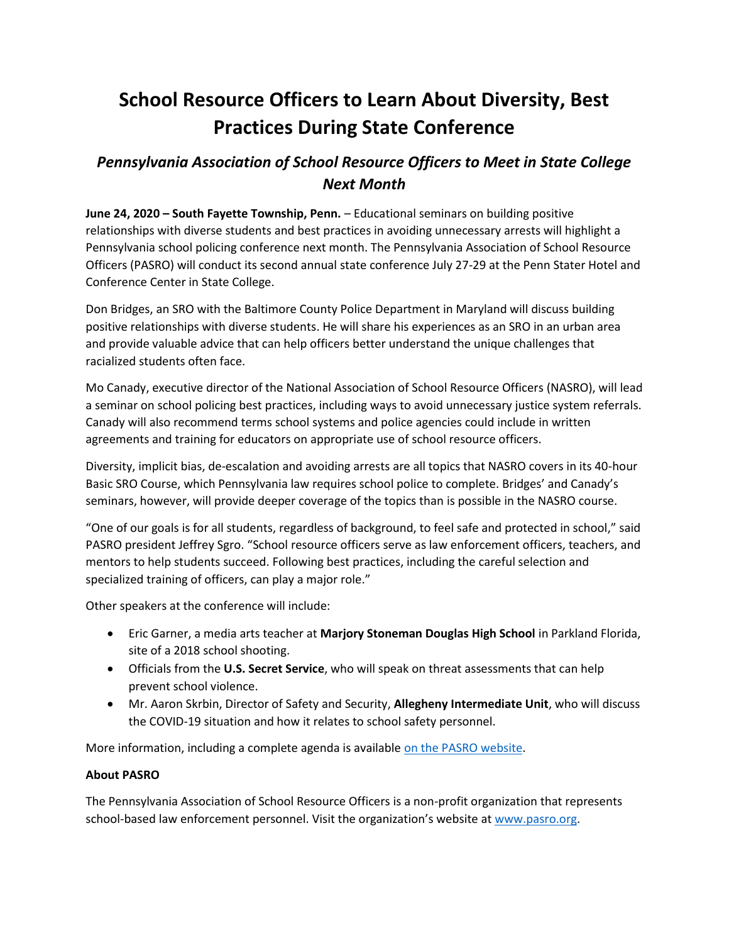## **School Resource Officers to Learn About Diversity, Best Practices During State Conference**

## *Pennsylvania Association of School Resource Officers to Meet in State College Next Month*

**June 24, 2020 – South Fayette Township, Penn.** – Educational seminars on building positive relationships with diverse students and best practices in avoiding unnecessary arrests will highlight a Pennsylvania school policing conference next month. The Pennsylvania Association of School Resource Officers (PASRO) will conduct its second annual state conference July 27-29 at the Penn Stater Hotel and Conference Center in State College.

Don Bridges, an SRO with the Baltimore County Police Department in Maryland will discuss building positive relationships with diverse students. He will share his experiences as an SRO in an urban area and provide valuable advice that can help officers better understand the unique challenges that racialized students often face.

Mo Canady, executive director of the National Association of School Resource Officers (NASRO), will lead a seminar on school policing best practices, including ways to avoid unnecessary justice system referrals. Canady will also recommend terms school systems and police agencies could include in written agreements and training for educators on appropriate use of school resource officers.

Diversity, implicit bias, de-escalation and avoiding arrests are all topics that NASRO covers in its 40-hour Basic SRO Course, which Pennsylvania law requires school police to complete. Bridges' and Canady's seminars, however, will provide deeper coverage of the topics than is possible in the NASRO course.

"One of our goals is for all students, regardless of background, to feel safe and protected in school," said PASRO president Jeffrey Sgro. "School resource officers serve as law enforcement officers, teachers, and mentors to help students succeed. Following best practices, including the careful selection and specialized training of officers, can play a major role."

Other speakers at the conference will include:

- Eric Garner, a media arts teacher at **Marjory Stoneman Douglas High School** in Parkland Florida, site of a 2018 school shooting.
- Officials from the **U.S. Secret Service**, who will speak on threat assessments that can help prevent school violence.
- Mr. Aaron Skrbin, Director of Safety and Security, **Allegheny Intermediate Unit**, who will discuss the COVID-19 situation and how it relates to school safety personnel.

More information, including a complete agenda is available [on the PASRO website.](https://pasro.org/conference.html)

## **About PASRO**

The Pennsylvania Association of School Resource Officers is a non-profit organization that represents school-based law enforcement personnel. Visit the organization's website at [www.pasro.org.](http://www.pasro.org/)